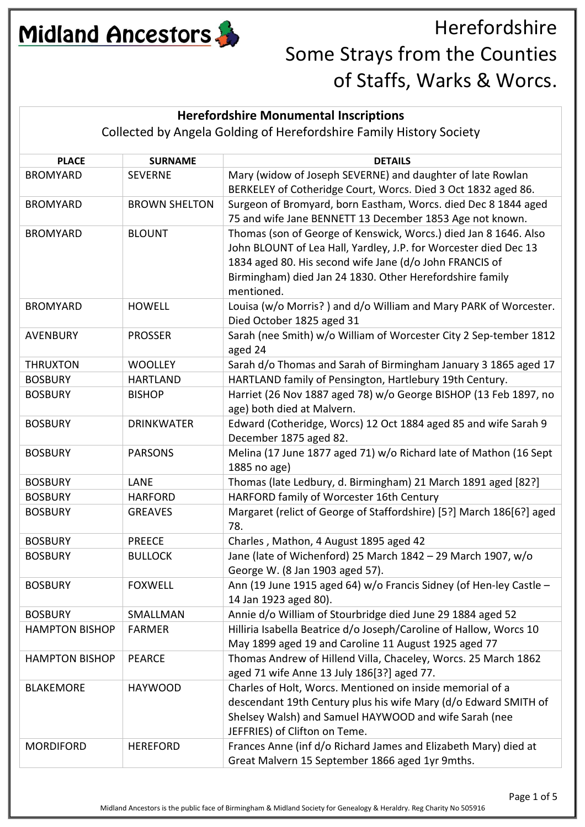

#### **Herefordshire Monumental Inscriptions**

Collected by Angela Golding of Herefordshire Family History Society

| Mary (widow of Joseph SEVERNE) and daughter of late Rowlan<br><b>BROMYARD</b><br><b>SEVERNE</b><br>BERKELEY of Cotheridge Court, Worcs. Died 3 Oct 1832 aged 86.<br>Surgeon of Bromyard, born Eastham, Worcs. died Dec 8 1844 aged<br><b>BROWN SHELTON</b><br><b>BROMYARD</b> |
|-------------------------------------------------------------------------------------------------------------------------------------------------------------------------------------------------------------------------------------------------------------------------------|
|                                                                                                                                                                                                                                                                               |
|                                                                                                                                                                                                                                                                               |
|                                                                                                                                                                                                                                                                               |
| 75 and wife Jane BENNETT 13 December 1853 Age not known.                                                                                                                                                                                                                      |
| Thomas (son of George of Kenswick, Worcs.) died Jan 8 1646. Also<br><b>BLOUNT</b><br><b>BROMYARD</b>                                                                                                                                                                          |
| John BLOUNT of Lea Hall, Yardley, J.P. for Worcester died Dec 13                                                                                                                                                                                                              |
| 1834 aged 80. His second wife Jane (d/o John FRANCIS of                                                                                                                                                                                                                       |
| Birmingham) died Jan 24 1830. Other Herefordshire family                                                                                                                                                                                                                      |
| mentioned.                                                                                                                                                                                                                                                                    |
| Louisa (w/o Morris?) and d/o William and Mary PARK of Worcester.<br><b>HOWELL</b><br><b>BROMYARD</b><br>Died October 1825 aged 31                                                                                                                                             |
| Sarah (nee Smith) w/o William of Worcester City 2 Sep-tember 1812<br><b>PROSSER</b><br><b>AVENBURY</b>                                                                                                                                                                        |
| aged 24                                                                                                                                                                                                                                                                       |
| Sarah d/o Thomas and Sarah of Birmingham January 3 1865 aged 17<br><b>WOOLLEY</b><br><b>THRUXTON</b>                                                                                                                                                                          |
| HARTLAND family of Pensington, Hartlebury 19th Century.<br><b>HARTLAND</b><br><b>BOSBURY</b>                                                                                                                                                                                  |
| Harriet (26 Nov 1887 aged 78) w/o George BISHOP (13 Feb 1897, no<br><b>BOSBURY</b><br><b>BISHOP</b>                                                                                                                                                                           |
| age) both died at Malvern.                                                                                                                                                                                                                                                    |
| Edward (Cotheridge, Worcs) 12 Oct 1884 aged 85 and wife Sarah 9<br><b>DRINKWATER</b><br><b>BOSBURY</b>                                                                                                                                                                        |
| December 1875 aged 82.                                                                                                                                                                                                                                                        |
| Melina (17 June 1877 aged 71) w/o Richard late of Mathon (16 Sept<br><b>PARSONS</b><br><b>BOSBURY</b>                                                                                                                                                                         |
| 1885 no age)                                                                                                                                                                                                                                                                  |
| Thomas (late Ledbury, d. Birmingham) 21 March 1891 aged [82?]<br>LANE<br><b>BOSBURY</b>                                                                                                                                                                                       |
| HARFORD family of Worcester 16th Century<br><b>BOSBURY</b><br><b>HARFORD</b>                                                                                                                                                                                                  |
| Margaret (relict of George of Staffordshire) [5?] March 186[6?] aged<br><b>BOSBURY</b><br><b>GREAVES</b>                                                                                                                                                                      |
| 78.                                                                                                                                                                                                                                                                           |
| Charles, Mathon, 4 August 1895 aged 42<br><b>PREECE</b><br><b>BOSBURY</b>                                                                                                                                                                                                     |
| Jane (late of Wichenford) 25 March 1842 - 29 March 1907, w/o<br><b>BOSBURY</b><br><b>BULLOCK</b>                                                                                                                                                                              |
| George W. (8 Jan 1903 aged 57).                                                                                                                                                                                                                                               |
| Ann (19 June 1915 aged 64) w/o Francis Sidney (of Hen-ley Castle -<br><b>FOXWELL</b><br><b>BOSBURY</b>                                                                                                                                                                        |
| 14 Jan 1923 aged 80).                                                                                                                                                                                                                                                         |
| Annie d/o William of Stourbridge died June 29 1884 aged 52<br><b>BOSBURY</b><br>SMALLMAN                                                                                                                                                                                      |
| Hilliria Isabella Beatrice d/o Joseph/Caroline of Hallow, Worcs 10<br><b>HAMPTON BISHOP</b><br><b>FARMER</b>                                                                                                                                                                  |
| May 1899 aged 19 and Caroline 11 August 1925 aged 77<br>Thomas Andrew of Hillend Villa, Chaceley, Worcs. 25 March 1862<br><b>HAMPTON BISHOP</b><br><b>PEARCE</b>                                                                                                              |
| aged 71 wife Anne 13 July 186[3?] aged 77.                                                                                                                                                                                                                                    |
| Charles of Holt, Worcs. Mentioned on inside memorial of a<br><b>HAYWOOD</b><br><b>BLAKEMORE</b>                                                                                                                                                                               |
| descendant 19th Century plus his wife Mary (d/o Edward SMITH of                                                                                                                                                                                                               |
| Shelsey Walsh) and Samuel HAYWOOD and wife Sarah (nee                                                                                                                                                                                                                         |
| JEFFRIES) of Clifton on Teme.                                                                                                                                                                                                                                                 |
| Frances Anne (inf d/o Richard James and Elizabeth Mary) died at<br><b>MORDIFORD</b><br><b>HEREFORD</b>                                                                                                                                                                        |
| Great Malvern 15 September 1866 aged 1yr 9mths.                                                                                                                                                                                                                               |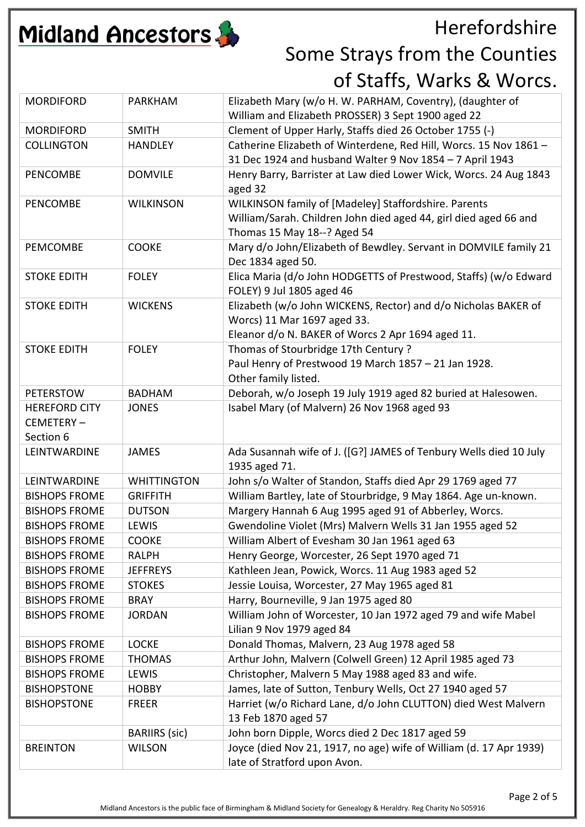

| Elizabeth Mary (w/o H. W. PARHAM, Coventry), (daughter of<br><b>MORDIFORD</b><br><b>PARKHAM</b><br>William and Elizabeth PROSSER) 3 Sept 1900 aged 22<br>Clement of Upper Harly, Staffs died 26 October 1755 (-)<br><b>MORDIFORD</b><br><b>SMITH</b><br>Catherine Elizabeth of Winterdene, Red Hill, Worcs. 15 Nov 1861 -<br><b>COLLINGTON</b><br><b>HANDLEY</b><br>31 Dec 1924 and husband Walter 9 Nov 1854 - 7 April 1943<br>Henry Barry, Barrister at Law died Lower Wick, Worcs. 24 Aug 1843<br><b>DOMVILE</b><br><b>PENCOMBE</b><br>aged 32<br>WILKINSON family of [Madeley] Staffordshire. Parents<br>PENCOMBE<br><b>WILKINSON</b><br>William/Sarah. Children John died aged 44, girl died aged 66 and<br>Thomas 15 May 18--? Aged 54<br>Mary d/o John/Elizabeth of Bewdley. Servant in DOMVILE family 21<br>PEMCOMBE<br><b>COOKE</b><br>Dec 1834 aged 50.<br>Elica Maria (d/o John HODGETTS of Prestwood, Staffs) (w/o Edward<br><b>FOLEY</b><br><b>STOKE EDITH</b><br>FOLEY) 9 Jul 1805 aged 46<br>Elizabeth (w/o John WICKENS, Rector) and d/o Nicholas BAKER of<br><b>WICKENS</b><br><b>STOKE EDITH</b><br>Worcs) 11 Mar 1697 aged 33.<br>Eleanor d/o N. BAKER of Worcs 2 Apr 1694 aged 11.<br>Thomas of Stourbridge 17th Century?<br><b>STOKE EDITH</b><br><b>FOLEY</b><br>Paul Henry of Prestwood 19 March 1857 - 21 Jan 1928.<br>Other family listed.<br>Deborah, w/o Joseph 19 July 1919 aged 82 buried at Halesowen.<br><b>PETERSTOW</b><br><b>BADHAM</b><br>Isabel Mary (of Malvern) 26 Nov 1968 aged 93<br><b>HEREFORD CITY</b><br><b>JONES</b><br>CEMETERY-<br>Section 6<br>Ada Susannah wife of J. ([G?] JAMES of Tenbury Wells died 10 July<br>LEINTWARDINE<br><b>JAMES</b><br>1935 aged 71.<br>John s/o Walter of Standon, Staffs died Apr 29 1769 aged 77<br>LEINTWARDINE<br><b>WHITTINGTON</b><br>William Bartley, late of Stourbridge, 9 May 1864. Age un-known.<br><b>BISHOPS FROME</b><br><b>GRIFFITH</b><br>Margery Hannah 6 Aug 1995 aged 91 of Abberley, Worcs.<br><b>DUTSON</b><br><b>BISHOPS FROME</b><br>Gwendoline Violet (Mrs) Malvern Wells 31 Jan 1955 aged 52<br><b>BISHOPS FROME</b><br>LEWIS<br><b>COOKE</b><br>William Albert of Evesham 30 Jan 1961 aged 63<br><b>BISHOPS FROME</b><br>Henry George, Worcester, 26 Sept 1970 aged 71<br><b>BISHOPS FROME</b><br><b>RALPH</b><br>Kathleen Jean, Powick, Worcs. 11 Aug 1983 aged 52<br><b>BISHOPS FROME</b><br><b>JEFFREYS</b><br>Jessie Louisa, Worcester, 27 May 1965 aged 81<br><b>BISHOPS FROME</b><br><b>STOKES</b><br>Harry, Bourneville, 9 Jan 1975 aged 80<br><b>BISHOPS FROME</b><br><b>BRAY</b><br>William John of Worcester, 10 Jan 1972 aged 79 and wife Mabel<br><b>BISHOPS FROME</b><br><b>JORDAN</b><br>Lilian 9 Nov 1979 aged 84<br>Donald Thomas, Malvern, 23 Aug 1978 aged 58<br><b>LOCKE</b><br><b>BISHOPS FROME</b><br>Arthur John, Malvern (Colwell Green) 12 April 1985 aged 73<br><b>BISHOPS FROME</b><br><b>THOMAS</b><br>Christopher, Malvern 5 May 1988 aged 83 and wife.<br>LEWIS<br><b>BISHOPS FROME</b><br>James, late of Sutton, Tenbury Wells, Oct 27 1940 aged 57<br><b>BISHOPSTONE</b><br><b>HOBBY</b><br>Harriet (w/o Richard Lane, d/o John CLUTTON) died West Malvern<br><b>BISHOPSTONE</b><br><b>FREER</b><br>13 Feb 1870 aged 57<br><b>BARIIRS</b> (sic)<br>John born Dipple, Worcs died 2 Dec 1817 aged 59<br>Joyce (died Nov 21, 1917, no age) wife of William (d. 17 Apr 1939)<br><b>BREINTON</b><br><b>WILSON</b><br>late of Stratford upon Avon. |  |  |
|-------------------------------------------------------------------------------------------------------------------------------------------------------------------------------------------------------------------------------------------------------------------------------------------------------------------------------------------------------------------------------------------------------------------------------------------------------------------------------------------------------------------------------------------------------------------------------------------------------------------------------------------------------------------------------------------------------------------------------------------------------------------------------------------------------------------------------------------------------------------------------------------------------------------------------------------------------------------------------------------------------------------------------------------------------------------------------------------------------------------------------------------------------------------------------------------------------------------------------------------------------------------------------------------------------------------------------------------------------------------------------------------------------------------------------------------------------------------------------------------------------------------------------------------------------------------------------------------------------------------------------------------------------------------------------------------------------------------------------------------------------------------------------------------------------------------------------------------------------------------------------------------------------------------------------------------------------------------------------------------------------------------------------------------------------------------------------------------------------------------------------------------------------------------------------------------------------------------------------------------------------------------------------------------------------------------------------------------------------------------------------------------------------------------------------------------------------------------------------------------------------------------------------------------------------------------------------------------------------------------------------------------------------------------------------------------------------------------------------------------------------------------------------------------------------------------------------------------------------------------------------------------------------------------------------------------------------------------------------------------------------------------------------------------------------------------------------------------------------------------------------------------------------------------------------------------------------------------------------------------------------------------------------------------------------------------------------------------------------------------------------------------------------------------------------------------------------------------------------------|--|--|
|                                                                                                                                                                                                                                                                                                                                                                                                                                                                                                                                                                                                                                                                                                                                                                                                                                                                                                                                                                                                                                                                                                                                                                                                                                                                                                                                                                                                                                                                                                                                                                                                                                                                                                                                                                                                                                                                                                                                                                                                                                                                                                                                                                                                                                                                                                                                                                                                                                                                                                                                                                                                                                                                                                                                                                                                                                                                                                                                                                                                                                                                                                                                                                                                                                                                                                                                                                                                                                                                                     |  |  |
|                                                                                                                                                                                                                                                                                                                                                                                                                                                                                                                                                                                                                                                                                                                                                                                                                                                                                                                                                                                                                                                                                                                                                                                                                                                                                                                                                                                                                                                                                                                                                                                                                                                                                                                                                                                                                                                                                                                                                                                                                                                                                                                                                                                                                                                                                                                                                                                                                                                                                                                                                                                                                                                                                                                                                                                                                                                                                                                                                                                                                                                                                                                                                                                                                                                                                                                                                                                                                                                                                     |  |  |
|                                                                                                                                                                                                                                                                                                                                                                                                                                                                                                                                                                                                                                                                                                                                                                                                                                                                                                                                                                                                                                                                                                                                                                                                                                                                                                                                                                                                                                                                                                                                                                                                                                                                                                                                                                                                                                                                                                                                                                                                                                                                                                                                                                                                                                                                                                                                                                                                                                                                                                                                                                                                                                                                                                                                                                                                                                                                                                                                                                                                                                                                                                                                                                                                                                                                                                                                                                                                                                                                                     |  |  |
|                                                                                                                                                                                                                                                                                                                                                                                                                                                                                                                                                                                                                                                                                                                                                                                                                                                                                                                                                                                                                                                                                                                                                                                                                                                                                                                                                                                                                                                                                                                                                                                                                                                                                                                                                                                                                                                                                                                                                                                                                                                                                                                                                                                                                                                                                                                                                                                                                                                                                                                                                                                                                                                                                                                                                                                                                                                                                                                                                                                                                                                                                                                                                                                                                                                                                                                                                                                                                                                                                     |  |  |
|                                                                                                                                                                                                                                                                                                                                                                                                                                                                                                                                                                                                                                                                                                                                                                                                                                                                                                                                                                                                                                                                                                                                                                                                                                                                                                                                                                                                                                                                                                                                                                                                                                                                                                                                                                                                                                                                                                                                                                                                                                                                                                                                                                                                                                                                                                                                                                                                                                                                                                                                                                                                                                                                                                                                                                                                                                                                                                                                                                                                                                                                                                                                                                                                                                                                                                                                                                                                                                                                                     |  |  |
|                                                                                                                                                                                                                                                                                                                                                                                                                                                                                                                                                                                                                                                                                                                                                                                                                                                                                                                                                                                                                                                                                                                                                                                                                                                                                                                                                                                                                                                                                                                                                                                                                                                                                                                                                                                                                                                                                                                                                                                                                                                                                                                                                                                                                                                                                                                                                                                                                                                                                                                                                                                                                                                                                                                                                                                                                                                                                                                                                                                                                                                                                                                                                                                                                                                                                                                                                                                                                                                                                     |  |  |
|                                                                                                                                                                                                                                                                                                                                                                                                                                                                                                                                                                                                                                                                                                                                                                                                                                                                                                                                                                                                                                                                                                                                                                                                                                                                                                                                                                                                                                                                                                                                                                                                                                                                                                                                                                                                                                                                                                                                                                                                                                                                                                                                                                                                                                                                                                                                                                                                                                                                                                                                                                                                                                                                                                                                                                                                                                                                                                                                                                                                                                                                                                                                                                                                                                                                                                                                                                                                                                                                                     |  |  |
|                                                                                                                                                                                                                                                                                                                                                                                                                                                                                                                                                                                                                                                                                                                                                                                                                                                                                                                                                                                                                                                                                                                                                                                                                                                                                                                                                                                                                                                                                                                                                                                                                                                                                                                                                                                                                                                                                                                                                                                                                                                                                                                                                                                                                                                                                                                                                                                                                                                                                                                                                                                                                                                                                                                                                                                                                                                                                                                                                                                                                                                                                                                                                                                                                                                                                                                                                                                                                                                                                     |  |  |
|                                                                                                                                                                                                                                                                                                                                                                                                                                                                                                                                                                                                                                                                                                                                                                                                                                                                                                                                                                                                                                                                                                                                                                                                                                                                                                                                                                                                                                                                                                                                                                                                                                                                                                                                                                                                                                                                                                                                                                                                                                                                                                                                                                                                                                                                                                                                                                                                                                                                                                                                                                                                                                                                                                                                                                                                                                                                                                                                                                                                                                                                                                                                                                                                                                                                                                                                                                                                                                                                                     |  |  |
|                                                                                                                                                                                                                                                                                                                                                                                                                                                                                                                                                                                                                                                                                                                                                                                                                                                                                                                                                                                                                                                                                                                                                                                                                                                                                                                                                                                                                                                                                                                                                                                                                                                                                                                                                                                                                                                                                                                                                                                                                                                                                                                                                                                                                                                                                                                                                                                                                                                                                                                                                                                                                                                                                                                                                                                                                                                                                                                                                                                                                                                                                                                                                                                                                                                                                                                                                                                                                                                                                     |  |  |
|                                                                                                                                                                                                                                                                                                                                                                                                                                                                                                                                                                                                                                                                                                                                                                                                                                                                                                                                                                                                                                                                                                                                                                                                                                                                                                                                                                                                                                                                                                                                                                                                                                                                                                                                                                                                                                                                                                                                                                                                                                                                                                                                                                                                                                                                                                                                                                                                                                                                                                                                                                                                                                                                                                                                                                                                                                                                                                                                                                                                                                                                                                                                                                                                                                                                                                                                                                                                                                                                                     |  |  |
|                                                                                                                                                                                                                                                                                                                                                                                                                                                                                                                                                                                                                                                                                                                                                                                                                                                                                                                                                                                                                                                                                                                                                                                                                                                                                                                                                                                                                                                                                                                                                                                                                                                                                                                                                                                                                                                                                                                                                                                                                                                                                                                                                                                                                                                                                                                                                                                                                                                                                                                                                                                                                                                                                                                                                                                                                                                                                                                                                                                                                                                                                                                                                                                                                                                                                                                                                                                                                                                                                     |  |  |
|                                                                                                                                                                                                                                                                                                                                                                                                                                                                                                                                                                                                                                                                                                                                                                                                                                                                                                                                                                                                                                                                                                                                                                                                                                                                                                                                                                                                                                                                                                                                                                                                                                                                                                                                                                                                                                                                                                                                                                                                                                                                                                                                                                                                                                                                                                                                                                                                                                                                                                                                                                                                                                                                                                                                                                                                                                                                                                                                                                                                                                                                                                                                                                                                                                                                                                                                                                                                                                                                                     |  |  |
|                                                                                                                                                                                                                                                                                                                                                                                                                                                                                                                                                                                                                                                                                                                                                                                                                                                                                                                                                                                                                                                                                                                                                                                                                                                                                                                                                                                                                                                                                                                                                                                                                                                                                                                                                                                                                                                                                                                                                                                                                                                                                                                                                                                                                                                                                                                                                                                                                                                                                                                                                                                                                                                                                                                                                                                                                                                                                                                                                                                                                                                                                                                                                                                                                                                                                                                                                                                                                                                                                     |  |  |
|                                                                                                                                                                                                                                                                                                                                                                                                                                                                                                                                                                                                                                                                                                                                                                                                                                                                                                                                                                                                                                                                                                                                                                                                                                                                                                                                                                                                                                                                                                                                                                                                                                                                                                                                                                                                                                                                                                                                                                                                                                                                                                                                                                                                                                                                                                                                                                                                                                                                                                                                                                                                                                                                                                                                                                                                                                                                                                                                                                                                                                                                                                                                                                                                                                                                                                                                                                                                                                                                                     |  |  |
|                                                                                                                                                                                                                                                                                                                                                                                                                                                                                                                                                                                                                                                                                                                                                                                                                                                                                                                                                                                                                                                                                                                                                                                                                                                                                                                                                                                                                                                                                                                                                                                                                                                                                                                                                                                                                                                                                                                                                                                                                                                                                                                                                                                                                                                                                                                                                                                                                                                                                                                                                                                                                                                                                                                                                                                                                                                                                                                                                                                                                                                                                                                                                                                                                                                                                                                                                                                                                                                                                     |  |  |
|                                                                                                                                                                                                                                                                                                                                                                                                                                                                                                                                                                                                                                                                                                                                                                                                                                                                                                                                                                                                                                                                                                                                                                                                                                                                                                                                                                                                                                                                                                                                                                                                                                                                                                                                                                                                                                                                                                                                                                                                                                                                                                                                                                                                                                                                                                                                                                                                                                                                                                                                                                                                                                                                                                                                                                                                                                                                                                                                                                                                                                                                                                                                                                                                                                                                                                                                                                                                                                                                                     |  |  |
|                                                                                                                                                                                                                                                                                                                                                                                                                                                                                                                                                                                                                                                                                                                                                                                                                                                                                                                                                                                                                                                                                                                                                                                                                                                                                                                                                                                                                                                                                                                                                                                                                                                                                                                                                                                                                                                                                                                                                                                                                                                                                                                                                                                                                                                                                                                                                                                                                                                                                                                                                                                                                                                                                                                                                                                                                                                                                                                                                                                                                                                                                                                                                                                                                                                                                                                                                                                                                                                                                     |  |  |
|                                                                                                                                                                                                                                                                                                                                                                                                                                                                                                                                                                                                                                                                                                                                                                                                                                                                                                                                                                                                                                                                                                                                                                                                                                                                                                                                                                                                                                                                                                                                                                                                                                                                                                                                                                                                                                                                                                                                                                                                                                                                                                                                                                                                                                                                                                                                                                                                                                                                                                                                                                                                                                                                                                                                                                                                                                                                                                                                                                                                                                                                                                                                                                                                                                                                                                                                                                                                                                                                                     |  |  |
|                                                                                                                                                                                                                                                                                                                                                                                                                                                                                                                                                                                                                                                                                                                                                                                                                                                                                                                                                                                                                                                                                                                                                                                                                                                                                                                                                                                                                                                                                                                                                                                                                                                                                                                                                                                                                                                                                                                                                                                                                                                                                                                                                                                                                                                                                                                                                                                                                                                                                                                                                                                                                                                                                                                                                                                                                                                                                                                                                                                                                                                                                                                                                                                                                                                                                                                                                                                                                                                                                     |  |  |
|                                                                                                                                                                                                                                                                                                                                                                                                                                                                                                                                                                                                                                                                                                                                                                                                                                                                                                                                                                                                                                                                                                                                                                                                                                                                                                                                                                                                                                                                                                                                                                                                                                                                                                                                                                                                                                                                                                                                                                                                                                                                                                                                                                                                                                                                                                                                                                                                                                                                                                                                                                                                                                                                                                                                                                                                                                                                                                                                                                                                                                                                                                                                                                                                                                                                                                                                                                                                                                                                                     |  |  |
|                                                                                                                                                                                                                                                                                                                                                                                                                                                                                                                                                                                                                                                                                                                                                                                                                                                                                                                                                                                                                                                                                                                                                                                                                                                                                                                                                                                                                                                                                                                                                                                                                                                                                                                                                                                                                                                                                                                                                                                                                                                                                                                                                                                                                                                                                                                                                                                                                                                                                                                                                                                                                                                                                                                                                                                                                                                                                                                                                                                                                                                                                                                                                                                                                                                                                                                                                                                                                                                                                     |  |  |
|                                                                                                                                                                                                                                                                                                                                                                                                                                                                                                                                                                                                                                                                                                                                                                                                                                                                                                                                                                                                                                                                                                                                                                                                                                                                                                                                                                                                                                                                                                                                                                                                                                                                                                                                                                                                                                                                                                                                                                                                                                                                                                                                                                                                                                                                                                                                                                                                                                                                                                                                                                                                                                                                                                                                                                                                                                                                                                                                                                                                                                                                                                                                                                                                                                                                                                                                                                                                                                                                                     |  |  |
|                                                                                                                                                                                                                                                                                                                                                                                                                                                                                                                                                                                                                                                                                                                                                                                                                                                                                                                                                                                                                                                                                                                                                                                                                                                                                                                                                                                                                                                                                                                                                                                                                                                                                                                                                                                                                                                                                                                                                                                                                                                                                                                                                                                                                                                                                                                                                                                                                                                                                                                                                                                                                                                                                                                                                                                                                                                                                                                                                                                                                                                                                                                                                                                                                                                                                                                                                                                                                                                                                     |  |  |
|                                                                                                                                                                                                                                                                                                                                                                                                                                                                                                                                                                                                                                                                                                                                                                                                                                                                                                                                                                                                                                                                                                                                                                                                                                                                                                                                                                                                                                                                                                                                                                                                                                                                                                                                                                                                                                                                                                                                                                                                                                                                                                                                                                                                                                                                                                                                                                                                                                                                                                                                                                                                                                                                                                                                                                                                                                                                                                                                                                                                                                                                                                                                                                                                                                                                                                                                                                                                                                                                                     |  |  |
|                                                                                                                                                                                                                                                                                                                                                                                                                                                                                                                                                                                                                                                                                                                                                                                                                                                                                                                                                                                                                                                                                                                                                                                                                                                                                                                                                                                                                                                                                                                                                                                                                                                                                                                                                                                                                                                                                                                                                                                                                                                                                                                                                                                                                                                                                                                                                                                                                                                                                                                                                                                                                                                                                                                                                                                                                                                                                                                                                                                                                                                                                                                                                                                                                                                                                                                                                                                                                                                                                     |  |  |
|                                                                                                                                                                                                                                                                                                                                                                                                                                                                                                                                                                                                                                                                                                                                                                                                                                                                                                                                                                                                                                                                                                                                                                                                                                                                                                                                                                                                                                                                                                                                                                                                                                                                                                                                                                                                                                                                                                                                                                                                                                                                                                                                                                                                                                                                                                                                                                                                                                                                                                                                                                                                                                                                                                                                                                                                                                                                                                                                                                                                                                                                                                                                                                                                                                                                                                                                                                                                                                                                                     |  |  |
|                                                                                                                                                                                                                                                                                                                                                                                                                                                                                                                                                                                                                                                                                                                                                                                                                                                                                                                                                                                                                                                                                                                                                                                                                                                                                                                                                                                                                                                                                                                                                                                                                                                                                                                                                                                                                                                                                                                                                                                                                                                                                                                                                                                                                                                                                                                                                                                                                                                                                                                                                                                                                                                                                                                                                                                                                                                                                                                                                                                                                                                                                                                                                                                                                                                                                                                                                                                                                                                                                     |  |  |
|                                                                                                                                                                                                                                                                                                                                                                                                                                                                                                                                                                                                                                                                                                                                                                                                                                                                                                                                                                                                                                                                                                                                                                                                                                                                                                                                                                                                                                                                                                                                                                                                                                                                                                                                                                                                                                                                                                                                                                                                                                                                                                                                                                                                                                                                                                                                                                                                                                                                                                                                                                                                                                                                                                                                                                                                                                                                                                                                                                                                                                                                                                                                                                                                                                                                                                                                                                                                                                                                                     |  |  |
|                                                                                                                                                                                                                                                                                                                                                                                                                                                                                                                                                                                                                                                                                                                                                                                                                                                                                                                                                                                                                                                                                                                                                                                                                                                                                                                                                                                                                                                                                                                                                                                                                                                                                                                                                                                                                                                                                                                                                                                                                                                                                                                                                                                                                                                                                                                                                                                                                                                                                                                                                                                                                                                                                                                                                                                                                                                                                                                                                                                                                                                                                                                                                                                                                                                                                                                                                                                                                                                                                     |  |  |
|                                                                                                                                                                                                                                                                                                                                                                                                                                                                                                                                                                                                                                                                                                                                                                                                                                                                                                                                                                                                                                                                                                                                                                                                                                                                                                                                                                                                                                                                                                                                                                                                                                                                                                                                                                                                                                                                                                                                                                                                                                                                                                                                                                                                                                                                                                                                                                                                                                                                                                                                                                                                                                                                                                                                                                                                                                                                                                                                                                                                                                                                                                                                                                                                                                                                                                                                                                                                                                                                                     |  |  |
|                                                                                                                                                                                                                                                                                                                                                                                                                                                                                                                                                                                                                                                                                                                                                                                                                                                                                                                                                                                                                                                                                                                                                                                                                                                                                                                                                                                                                                                                                                                                                                                                                                                                                                                                                                                                                                                                                                                                                                                                                                                                                                                                                                                                                                                                                                                                                                                                                                                                                                                                                                                                                                                                                                                                                                                                                                                                                                                                                                                                                                                                                                                                                                                                                                                                                                                                                                                                                                                                                     |  |  |
|                                                                                                                                                                                                                                                                                                                                                                                                                                                                                                                                                                                                                                                                                                                                                                                                                                                                                                                                                                                                                                                                                                                                                                                                                                                                                                                                                                                                                                                                                                                                                                                                                                                                                                                                                                                                                                                                                                                                                                                                                                                                                                                                                                                                                                                                                                                                                                                                                                                                                                                                                                                                                                                                                                                                                                                                                                                                                                                                                                                                                                                                                                                                                                                                                                                                                                                                                                                                                                                                                     |  |  |
|                                                                                                                                                                                                                                                                                                                                                                                                                                                                                                                                                                                                                                                                                                                                                                                                                                                                                                                                                                                                                                                                                                                                                                                                                                                                                                                                                                                                                                                                                                                                                                                                                                                                                                                                                                                                                                                                                                                                                                                                                                                                                                                                                                                                                                                                                                                                                                                                                                                                                                                                                                                                                                                                                                                                                                                                                                                                                                                                                                                                                                                                                                                                                                                                                                                                                                                                                                                                                                                                                     |  |  |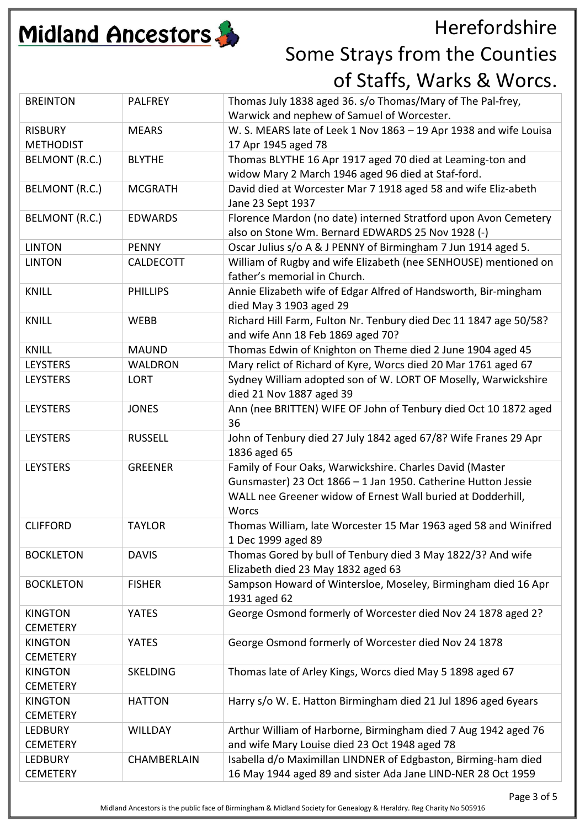

| <b>BREINTON</b>  | <b>PALFREY</b>  | Thomas July 1838 aged 36. s/o Thomas/Mary of The Pal-frey,<br>Warwick and nephew of Samuel of Worcester. |
|------------------|-----------------|----------------------------------------------------------------------------------------------------------|
| <b>RISBURY</b>   | <b>MEARS</b>    | W. S. MEARS late of Leek 1 Nov 1863 - 19 Apr 1938 and wife Louisa                                        |
| <b>METHODIST</b> |                 | 17 Apr 1945 aged 78                                                                                      |
| BELMONT (R.C.)   | <b>BLYTHE</b>   | Thomas BLYTHE 16 Apr 1917 aged 70 died at Leaming-ton and                                                |
|                  |                 | widow Mary 2 March 1946 aged 96 died at Staf-ford.                                                       |
| BELMONT (R.C.)   | <b>MCGRATH</b>  | David died at Worcester Mar 7 1918 aged 58 and wife Eliz-abeth                                           |
|                  |                 | Jane 23 Sept 1937                                                                                        |
| BELMONT (R.C.)   | <b>EDWARDS</b>  | Florence Mardon (no date) interned Stratford upon Avon Cemetery                                          |
|                  |                 | also on Stone Wm. Bernard EDWARDS 25 Nov 1928 (-)                                                        |
| <b>LINTON</b>    | <b>PENNY</b>    | Oscar Julius s/o A & J PENNY of Birmingham 7 Jun 1914 aged 5.                                            |
| <b>LINTON</b>    | CALDECOTT       | William of Rugby and wife Elizabeth (nee SENHOUSE) mentioned on                                          |
|                  |                 | father's memorial in Church.                                                                             |
| <b>KNILL</b>     | <b>PHILLIPS</b> | Annie Elizabeth wife of Edgar Alfred of Handsworth, Bir-mingham                                          |
|                  |                 | died May 3 1903 aged 29                                                                                  |
| <b>KNILL</b>     | WEBB            | Richard Hill Farm, Fulton Nr. Tenbury died Dec 11 1847 age 50/58?                                        |
|                  |                 | and wife Ann 18 Feb 1869 aged 70?                                                                        |
| <b>KNILL</b>     | <b>MAUND</b>    | Thomas Edwin of Knighton on Theme died 2 June 1904 aged 45                                               |
| <b>LEYSTERS</b>  | <b>WALDRON</b>  | Mary relict of Richard of Kyre, Worcs died 20 Mar 1761 aged 67                                           |
| <b>LEYSTERS</b>  | <b>LORT</b>     | Sydney William adopted son of W. LORT OF Moselly, Warwickshire                                           |
|                  |                 | died 21 Nov 1887 aged 39                                                                                 |
| <b>LEYSTERS</b>  | <b>JONES</b>    | Ann (nee BRITTEN) WIFE OF John of Tenbury died Oct 10 1872 aged                                          |
|                  |                 | 36                                                                                                       |
| <b>LEYSTERS</b>  | <b>RUSSELL</b>  | John of Tenbury died 27 July 1842 aged 67/8? Wife Franes 29 Apr                                          |
|                  |                 | 1836 aged 65                                                                                             |
| <b>LEYSTERS</b>  | <b>GREENER</b>  | Family of Four Oaks, Warwickshire. Charles David (Master                                                 |
|                  |                 | Gunsmaster) 23 Oct 1866 - 1 Jan 1950. Catherine Hutton Jessie                                            |
|                  |                 | WALL nee Greener widow of Ernest Wall buried at Dodderhill,                                              |
|                  |                 | <b>Worcs</b>                                                                                             |
| <b>CLIFFORD</b>  | <b>TAYLOR</b>   | Thomas William, late Worcester 15 Mar 1963 aged 58 and Winifred                                          |
| <b>BOCKLETON</b> | <b>DAVIS</b>    | 1 Dec 1999 aged 89<br>Thomas Gored by bull of Tenbury died 3 May 1822/3? And wife                        |
|                  |                 | Elizabeth died 23 May 1832 aged 63                                                                       |
| <b>BOCKLETON</b> | <b>FISHER</b>   | Sampson Howard of Wintersloe, Moseley, Birmingham died 16 Apr                                            |
|                  |                 | 1931 aged 62                                                                                             |
| <b>KINGTON</b>   | <b>YATES</b>    | George Osmond formerly of Worcester died Nov 24 1878 aged 2?                                             |
| <b>CEMETERY</b>  |                 |                                                                                                          |
| <b>KINGTON</b>   | <b>YATES</b>    | George Osmond formerly of Worcester died Nov 24 1878                                                     |
| <b>CEMETERY</b>  |                 |                                                                                                          |
| <b>KINGTON</b>   | SKELDING        | Thomas late of Arley Kings, Worcs died May 5 1898 aged 67                                                |
| <b>CEMETERY</b>  |                 |                                                                                                          |
| <b>KINGTON</b>   | <b>HATTON</b>   | Harry s/o W. E. Hatton Birmingham died 21 Jul 1896 aged 6years                                           |
| <b>CEMETERY</b>  |                 |                                                                                                          |
| <b>LEDBURY</b>   | <b>WILLDAY</b>  | Arthur William of Harborne, Birmingham died 7 Aug 1942 aged 76                                           |
| <b>CEMETERY</b>  |                 | and wife Mary Louise died 23 Oct 1948 aged 78                                                            |
| <b>LEDBURY</b>   | CHAMBERLAIN     | Isabella d/o Maximillan LINDNER of Edgbaston, Birming-ham died                                           |
| <b>CEMETERY</b>  |                 | 16 May 1944 aged 89 and sister Ada Jane LIND-NER 28 Oct 1959                                             |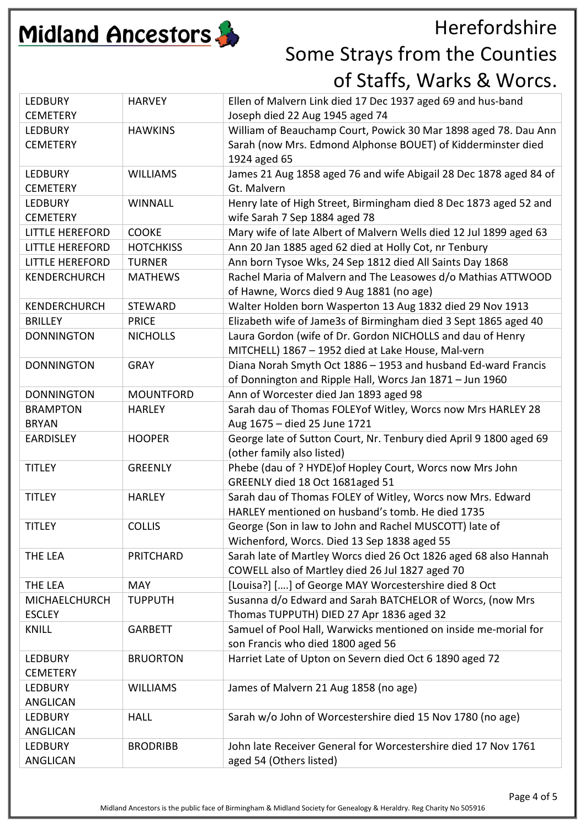

| <b>LEDBURY</b><br><b>CEMETERY</b> | <b>HARVEY</b>    | Ellen of Malvern Link died 17 Dec 1937 aged 69 and hus-band<br>Joseph died 22 Aug 1945 aged 74 |
|-----------------------------------|------------------|------------------------------------------------------------------------------------------------|
| <b>LEDBURY</b>                    | <b>HAWKINS</b>   | William of Beauchamp Court, Powick 30 Mar 1898 aged 78. Dau Ann                                |
| <b>CEMETERY</b>                   |                  | Sarah (now Mrs. Edmond Alphonse BOUET) of Kidderminster died                                   |
|                                   |                  |                                                                                                |
|                                   |                  | 1924 aged 65                                                                                   |
| <b>LEDBURY</b>                    | <b>WILLIAMS</b>  | James 21 Aug 1858 aged 76 and wife Abigail 28 Dec 1878 aged 84 of                              |
| <b>CEMETERY</b>                   |                  | Gt. Malvern                                                                                    |
| <b>LEDBURY</b>                    | <b>WINNALL</b>   | Henry late of High Street, Birmingham died 8 Dec 1873 aged 52 and                              |
| <b>CEMETERY</b>                   |                  | wife Sarah 7 Sep 1884 aged 78                                                                  |
| <b>LITTLE HEREFORD</b>            | <b>COOKE</b>     | Mary wife of late Albert of Malvern Wells died 12 Jul 1899 aged 63                             |
| <b>LITTLE HEREFORD</b>            | <b>HOTCHKISS</b> | Ann 20 Jan 1885 aged 62 died at Holly Cot, nr Tenbury                                          |
| <b>LITTLE HEREFORD</b>            | <b>TURNER</b>    | Ann born Tysoe Wks, 24 Sep 1812 died All Saints Day 1868                                       |
|                                   |                  |                                                                                                |
| <b>KENDERCHURCH</b>               | <b>MATHEWS</b>   | Rachel Maria of Malvern and The Leasowes d/o Mathias ATTWOOD                                   |
|                                   |                  | of Hawne, Worcs died 9 Aug 1881 (no age)                                                       |
| KENDERCHURCH                      | <b>STEWARD</b>   | Walter Holden born Wasperton 13 Aug 1832 died 29 Nov 1913                                      |
| <b>BRILLEY</b>                    | <b>PRICE</b>     | Elizabeth wife of Jame3s of Birmingham died 3 Sept 1865 aged 40                                |
| <b>DONNINGTON</b>                 | <b>NICHOLLS</b>  | Laura Gordon (wife of Dr. Gordon NICHOLLS and dau of Henry                                     |
|                                   |                  | MITCHELL) 1867 - 1952 died at Lake House, Mal-vern                                             |
| <b>DONNINGTON</b>                 | <b>GRAY</b>      | Diana Norah Smyth Oct 1886 - 1953 and husband Ed-ward Francis                                  |
|                                   |                  | of Donnington and Ripple Hall, Worcs Jan 1871 - Jun 1960                                       |
| <b>DONNINGTON</b>                 | <b>MOUNTFORD</b> | Ann of Worcester died Jan 1893 aged 98                                                         |
|                                   |                  |                                                                                                |
| <b>BRAMPTON</b>                   | <b>HARLEY</b>    | Sarah dau of Thomas FOLEYof Witley, Worcs now Mrs HARLEY 28                                    |
| <b>BRYAN</b>                      |                  | Aug 1675 - died 25 June 1721                                                                   |
| <b>EARDISLEY</b>                  | <b>HOOPER</b>    | George late of Sutton Court, Nr. Tenbury died April 9 1800 aged 69                             |
|                                   |                  | (other family also listed)                                                                     |
| <b>TITLEY</b>                     | <b>GREENLY</b>   | Phebe (dau of ? HYDE) of Hopley Court, Worcs now Mrs John                                      |
|                                   |                  | GREENLY died 18 Oct 1681aged 51                                                                |
| <b>TITLEY</b>                     | <b>HARLEY</b>    | Sarah dau of Thomas FOLEY of Witley, Worcs now Mrs. Edward                                     |
|                                   |                  | HARLEY mentioned on husband's tomb. He died 1735                                               |
| <b>TITLEY</b>                     | <b>COLLIS</b>    | George (Son in law to John and Rachel MUSCOTT) late of                                         |
|                                   |                  | Wichenford, Worcs. Died 13 Sep 1838 aged 55                                                    |
| THE LEA                           | PRITCHARD        | Sarah late of Martley Worcs died 26 Oct 1826 aged 68 also Hannah                               |
|                                   |                  | COWELL also of Martley died 26 Jul 1827 aged 70                                                |
| THE LEA                           | <b>MAY</b>       | [Louisa?] [] of George MAY Worcestershire died 8 Oct                                           |
|                                   |                  |                                                                                                |
| MICHAELCHURCH                     | <b>TUPPUTH</b>   | Susanna d/o Edward and Sarah BATCHELOR of Worcs, (now Mrs                                      |
| <b>ESCLEY</b>                     |                  | Thomas TUPPUTH) DIED 27 Apr 1836 aged 32                                                       |
| <b>KNILL</b>                      | <b>GARBETT</b>   | Samuel of Pool Hall, Warwicks mentioned on inside me-morial for                                |
|                                   |                  | son Francis who died 1800 aged 56                                                              |
| <b>LEDBURY</b>                    | <b>BRUORTON</b>  | Harriet Late of Upton on Severn died Oct 6 1890 aged 72                                        |
| <b>CEMETERY</b>                   |                  |                                                                                                |
| <b>LEDBURY</b>                    | <b>WILLIAMS</b>  | James of Malvern 21 Aug 1858 (no age)                                                          |
| <b>ANGLICAN</b>                   |                  |                                                                                                |
| <b>LEDBURY</b>                    | <b>HALL</b>      | Sarah w/o John of Worcestershire died 15 Nov 1780 (no age)                                     |
| <b>ANGLICAN</b>                   |                  |                                                                                                |
| <b>LEDBURY</b>                    | <b>BRODRIBB</b>  | John late Receiver General for Worcestershire died 17 Nov 1761                                 |
| <b>ANGLICAN</b>                   |                  | aged 54 (Others listed)                                                                        |
|                                   |                  |                                                                                                |